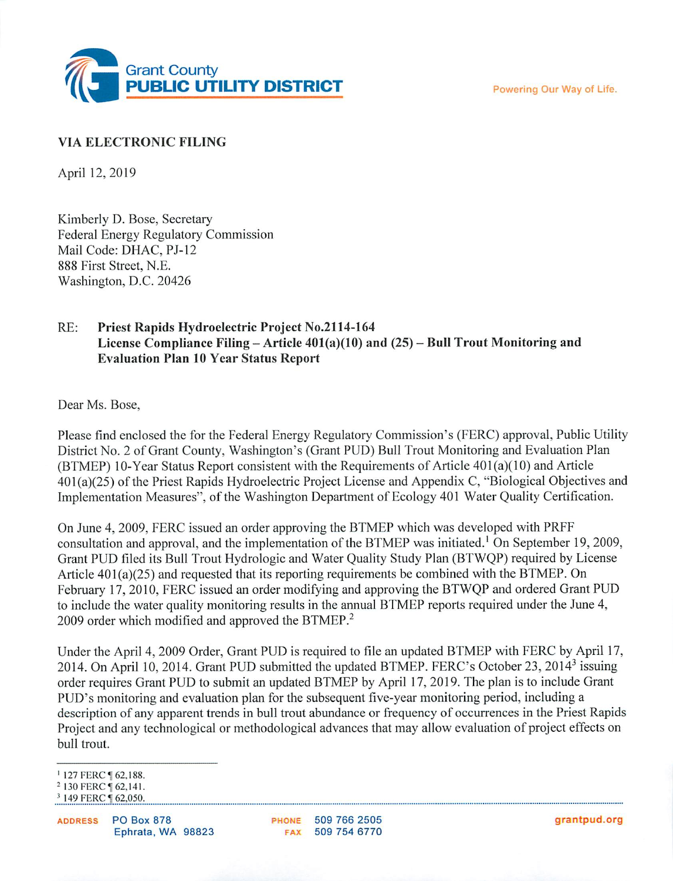Powering Our Way of Life.



#### **VIA ELECTRONIC FILING**

April 12, 2019

Kimberly D. Bose, Secretary Federal Energy Regulatory Commission Mail Code: DHAC, PJ-12 888 First Street, N.E. Washington, D.C. 20426

#### RE: Priest Rapids Hydroelectric Project No.2114-164 License Compliance Filing – Article  $401(a)(10)$  and  $(25)$  – Bull Trout Monitoring and **Evaluation Plan 10 Year Status Report**

Dear Ms. Bose.

Please find enclosed the for the Federal Energy Regulatory Commission's (FERC) approval, Public Utility District No. 2 of Grant County, Washington's (Grant PUD) Bull Trout Monitoring and Evaluation Plan (BTMEP) 10-Year Status Report consistent with the Requirements of Article 401(a)(10) and Article 401(a)(25) of the Priest Rapids Hydroelectric Project License and Appendix C, "Biological Objectives and Implementation Measures", of the Washington Department of Ecology 401 Water Quality Certification.

On June 4, 2009, FERC issued an order approving the BTMEP which was developed with PRFF consultation and approval, and the implementation of the BTMEP was initiated.<sup>1</sup> On September 19, 2009, Grant PUD filed its Bull Trout Hydrologic and Water Quality Study Plan (BTWQP) required by License Article  $401(a)(25)$  and requested that its reporting requirements be combined with the BTMEP. On February 17, 2010, FERC issued an order modifying and approving the BTWQP and ordered Grant PUD to include the water quality monitoring results in the annual BTMEP reports required under the June 4, 2009 order which modified and approved the BTMEP.<sup>2</sup>

Under the April 4, 2009 Order, Grant PUD is required to file an updated BTMEP with FERC by April 17, 2014. On April 10, 2014. Grant PUD submitted the updated BTMEP. FERC's October 23, 2014<sup>3</sup> issuing order requires Grant PUD to submit an updated BTMEP by April 17, 2019. The plan is to include Grant PUD's monitoring and evaluation plan for the subsequent five-year monitoring period, including a description of any apparent trends in bull trout abundance or frequency of occurrences in the Priest Rapids Project and any technological or methodological advances that may allow evaluation of project effects on bull trout.

PHONE 509 766 2505 FAX 509 754 6770

<sup>&</sup>lt;sup>1</sup> 127 FERC ¶ 62,188.

<sup>&</sup>lt;sup>2</sup> 130 FERC [ 62,141.

<sup>&</sup>lt;sup>3</sup> 149 FERC [ 62,050.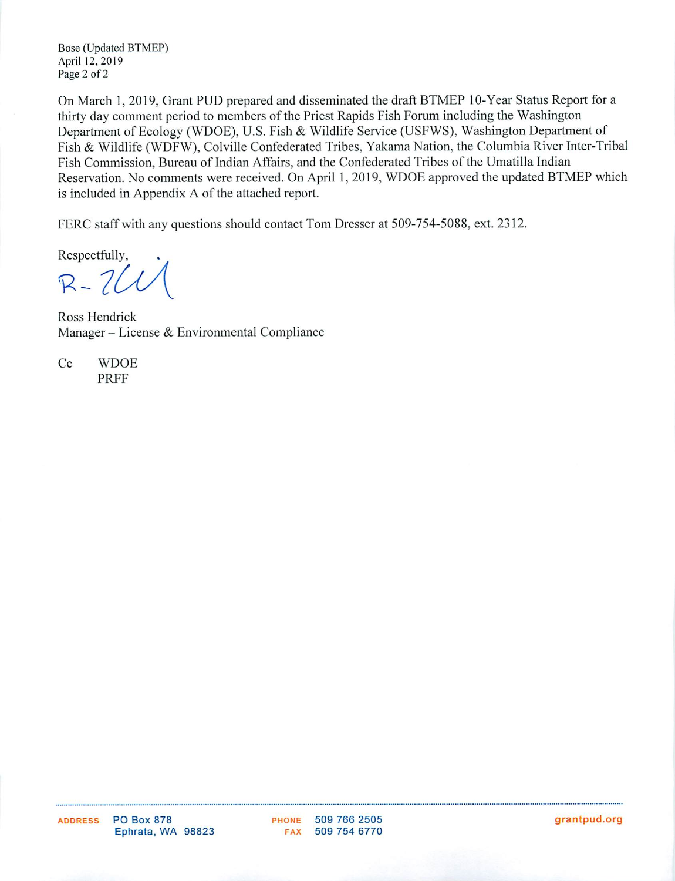Bose (Updated BTMEP) April 12, 2019 Page 2 of 2

On March 1, 2019, Grant PUD prepared and disseminated the draft BTMEP 10-Year Status Report for a thirty day comment period to members of the Priest Rapids Fish Forum including the Washington Department of Ecology (WDOE), U.S. Fish & Wildlife Service (USFWS), Washington Department of Fish & Wildlife (WDFW), Colville Confederated Tribes, Yakama Nation, the Columbia River Inter-Tribal Fish Commission, Bureau of Indian Affairs, and the Confederated Tribes of the Umatilla Indian Reservation. No comments were received. On April 1, 2019, WDOE approved the updated BTMEP which is included in Appendix A of the attached report.

FERC staff with any questions should contact Tom Dresser at 509-754-5088, ext. 2312.

Respectfully,

 $R-7U$ 

Ross Hendrick Manager – License & Environmental Compliance

Cc **WDOE PRFF** 

PHONE 509 766 2505 **FAX** 509 754 6770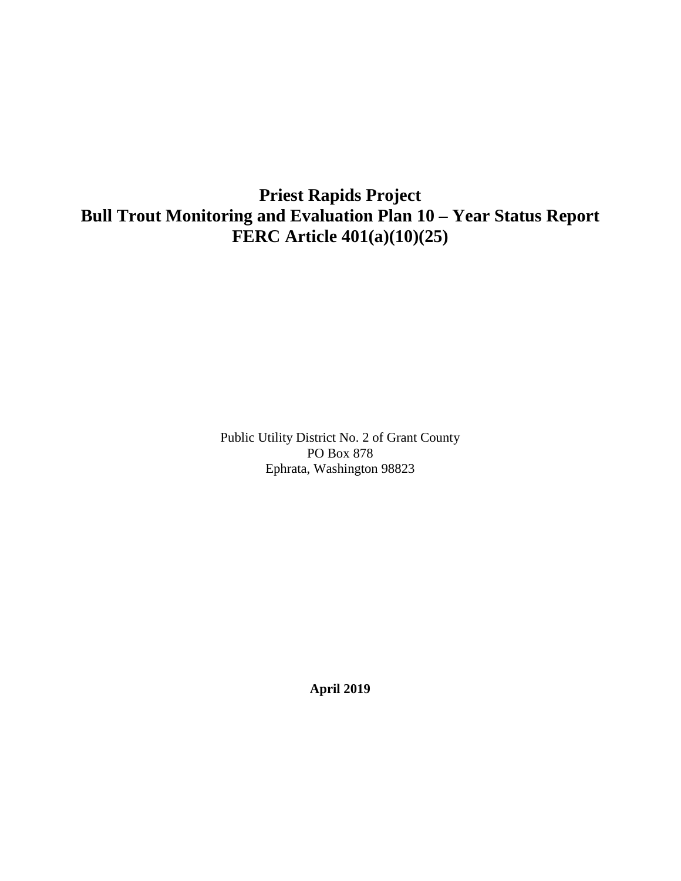## **Priest Rapids Project Bull Trout Monitoring and Evaluation Plan 10 – Year Status Report FERC Article 401(a)(10)(25)**

Public Utility District No. 2 of Grant County PO Box 878 Ephrata, Washington 98823

**April 2019**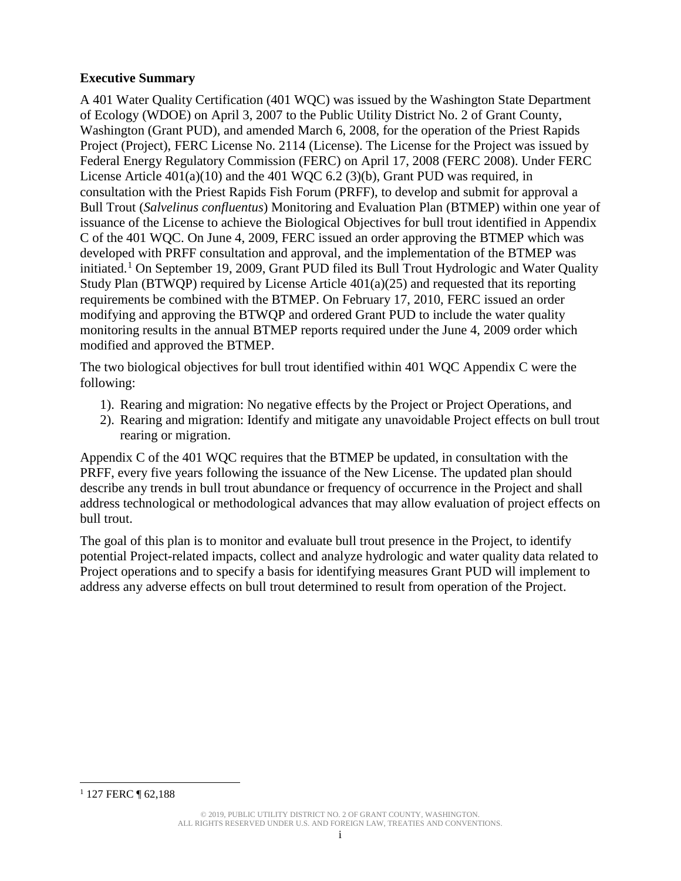#### **Executive Summary**

A 401 Water Quality Certification (401 WQC) was issued by the Washington State Department of Ecology (WDOE) on April 3, 2007 to the Public Utility District No. 2 of Grant County, Washington (Grant PUD), and amended March 6, 2008, for the operation of the Priest Rapids Project (Project), FERC License No. 2114 (License). The License for the Project was issued by Federal Energy Regulatory Commission (FERC) on April 17, 2008 (FERC 2008). Under FERC License Article  $401(a)(10)$  and the 401 WQC 6.2 (3)(b), Grant PUD was required, in consultation with the Priest Rapids Fish Forum (PRFF), to develop and submit for approval a Bull Trout (*Salvelinus confluentus*) Monitoring and Evaluation Plan (BTMEP) within one year of issuance of the License to achieve the Biological Objectives for bull trout identified in Appendix C of the 401 WQC. On June 4, 2009, FERC issued an order approving the BTMEP which was developed with PRFF consultation and approval, and the implementation of the BTMEP was initiated.<sup>[1](#page-3-0)</sup> On September 19, 2009, Grant PUD filed its Bull Trout Hydrologic and Water Quality Study Plan (BTWQP) required by License Article 401(a)(25) and requested that its reporting requirements be combined with the BTMEP. On February 17, 2010, FERC issued an order modifying and approving the BTWQP and ordered Grant PUD to include the water quality monitoring results in the annual BTMEP reports required under the June 4, 2009 order which modified and approved the BTMEP.

The two biological objectives for bull trout identified within 401 WQC Appendix C were the following:

- 1). Rearing and migration: No negative effects by the Project or Project Operations, and
- 2). Rearing and migration: Identify and mitigate any unavoidable Project effects on bull trout rearing or migration.

Appendix C of the 401 WQC requires that the BTMEP be updated, in consultation with the PRFF, every five years following the issuance of the New License. The updated plan should describe any trends in bull trout abundance or frequency of occurrence in the Project and shall address technological or methodological advances that may allow evaluation of project effects on bull trout.

The goal of this plan is to monitor and evaluate bull trout presence in the Project, to identify potential Project-related impacts, collect and analyze hydrologic and water quality data related to Project operations and to specify a basis for identifying measures Grant PUD will implement to address any adverse effects on bull trout determined to result from operation of the Project.

<span id="page-3-0"></span><sup>&</sup>lt;sup>1</sup> 127 FERC ¶ 62,188  $\overline{a}$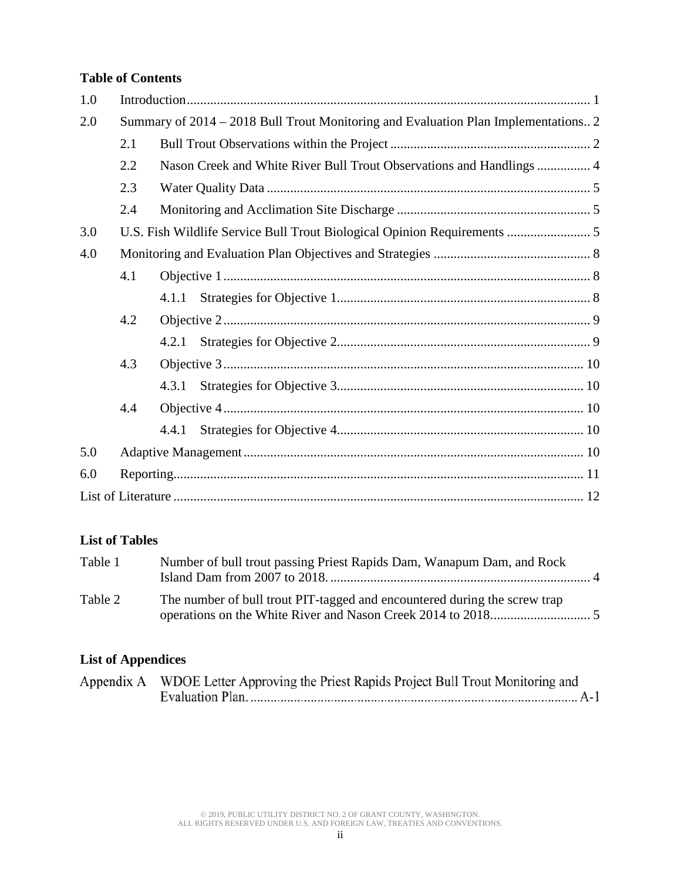#### **Table of Contents**

| 1.0 |                                                                                    |                                                                      |  |  |  |  |
|-----|------------------------------------------------------------------------------------|----------------------------------------------------------------------|--|--|--|--|
| 2.0 | Summary of 2014 – 2018 Bull Trout Monitoring and Evaluation Plan Implementations 2 |                                                                      |  |  |  |  |
|     | 2.1                                                                                |                                                                      |  |  |  |  |
|     | 2.2                                                                                | Nason Creek and White River Bull Trout Observations and Handlings  4 |  |  |  |  |
|     | 2.3                                                                                |                                                                      |  |  |  |  |
|     | 2.4                                                                                |                                                                      |  |  |  |  |
| 3.0 | U.S. Fish Wildlife Service Bull Trout Biological Opinion Requirements  5           |                                                                      |  |  |  |  |
| 4.0 |                                                                                    |                                                                      |  |  |  |  |
|     | 4.1                                                                                |                                                                      |  |  |  |  |
|     |                                                                                    |                                                                      |  |  |  |  |
|     | 4.2                                                                                |                                                                      |  |  |  |  |
|     |                                                                                    |                                                                      |  |  |  |  |
|     | 4.3                                                                                |                                                                      |  |  |  |  |
|     |                                                                                    |                                                                      |  |  |  |  |
|     | 4.4                                                                                |                                                                      |  |  |  |  |
|     |                                                                                    | 4.4.1                                                                |  |  |  |  |
| 5.0 |                                                                                    |                                                                      |  |  |  |  |
| 6.0 |                                                                                    |                                                                      |  |  |  |  |
|     |                                                                                    |                                                                      |  |  |  |  |

#### **List of Tables**

| Table 1 | Number of bull trout passing Priest Rapids Dam, Wanapum Dam, and Rock     |  |
|---------|---------------------------------------------------------------------------|--|
| Table 2 | The number of bull trout PIT-tagged and encountered during the screw trap |  |

#### **List of Appendices**

| Appendix A WDOE Letter Approving the Priest Rapids Project Bull Trout Monitoring and |
|--------------------------------------------------------------------------------------|
|                                                                                      |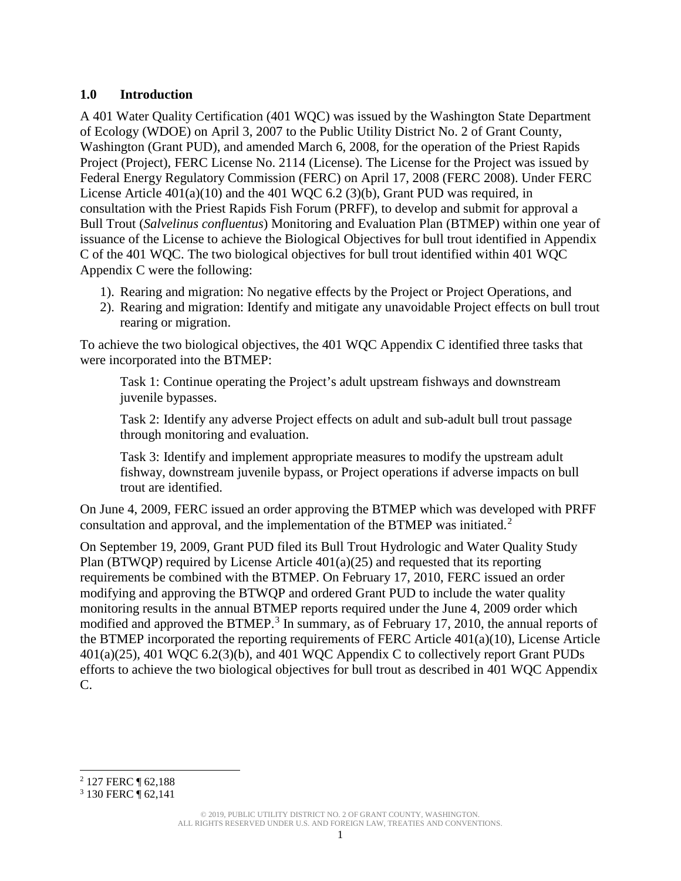#### <span id="page-5-0"></span>**1.0 Introduction**

A 401 Water Quality Certification (401 WQC) was issued by the Washington State Department of Ecology (WDOE) on April 3, 2007 to the Public Utility District No. 2 of Grant County, Washington (Grant PUD), and amended March 6, 2008, for the operation of the Priest Rapids Project (Project), FERC License No. 2114 (License). The License for the Project was issued by Federal Energy Regulatory Commission (FERC) on April 17, 2008 (FERC 2008). Under FERC License Article  $401(a)(10)$  and the 401 WQC 6.2 (3)(b), Grant PUD was required, in consultation with the Priest Rapids Fish Forum (PRFF), to develop and submit for approval a Bull Trout (*Salvelinus confluentus*) Monitoring and Evaluation Plan (BTMEP) within one year of issuance of the License to achieve the Biological Objectives for bull trout identified in Appendix C of the 401 WQC. The two biological objectives for bull trout identified within 401 WQC Appendix C were the following:

- 1). Rearing and migration: No negative effects by the Project or Project Operations, and
- 2). Rearing and migration: Identify and mitigate any unavoidable Project effects on bull trout rearing or migration.

To achieve the two biological objectives, the 401 WQC Appendix C identified three tasks that were incorporated into the BTMEP:

Task 1: Continue operating the Project's adult upstream fishways and downstream juvenile bypasses.

Task 2: Identify any adverse Project effects on adult and sub-adult bull trout passage through monitoring and evaluation.

Task 3: Identify and implement appropriate measures to modify the upstream adult fishway, downstream juvenile bypass, or Project operations if adverse impacts on bull trout are identified.

On June 4, 2009, FERC issued an order approving the BTMEP which was developed with PRFF consultation and approval, and the implementation of the BTMEP was initiated.<sup>[2](#page-5-1)</sup>

On September 19, 2009, Grant PUD filed its Bull Trout Hydrologic and Water Quality Study Plan (BTWQP) required by License Article 401(a)(25) and requested that its reporting requirements be combined with the BTMEP. On February 17, 2010, FERC issued an order modifying and approving the BTWQP and ordered Grant PUD to include the water quality monitoring results in the annual BTMEP reports required under the June 4, 2009 order which modified and approved the BTMEP.<sup>[3](#page-5-2)</sup> In summary, as of February 17, 2010, the annual reports of the BTMEP incorporated the reporting requirements of FERC Article 401(a)(10), License Article  $401(a)(25)$ ,  $401 WQC 6.2(3)(b)$ , and  $401 WQC$  Appendix C to collectively report Grant PUDs efforts to achieve the two biological objectives for bull trout as described in 401 WQC Appendix C.

© 2019, PUBLIC UTILITY DISTRICT NO. 2 OF GRANT COUNTY, WASHINGTON. ALL RIGHTS RESERVED UNDER U.S. AND FOREIGN LAW, TREATIES AND CONVENTIONS.

<span id="page-5-1"></span><sup>2</sup> 127 FERC ¶ 62,188  $\overline{a}$ 

<span id="page-5-2"></span><sup>3</sup> 130 FERC ¶ 62,141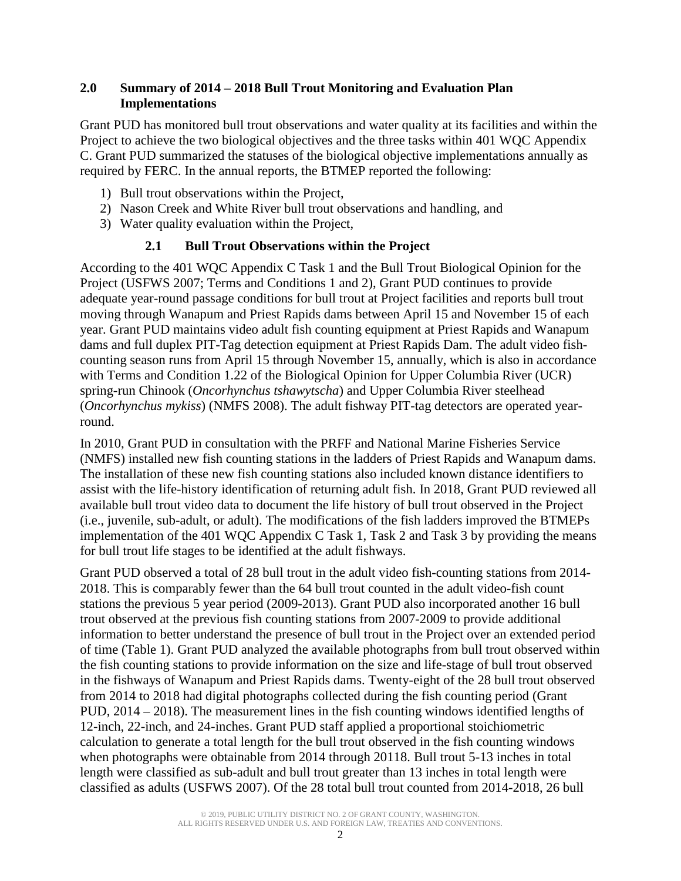#### <span id="page-6-0"></span>**2.0 Summary of 2014 – 2018 Bull Trout Monitoring and Evaluation Plan Implementations**

Grant PUD has monitored bull trout observations and water quality at its facilities and within the Project to achieve the two biological objectives and the three tasks within 401 WQC Appendix C. Grant PUD summarized the statuses of the biological objective implementations annually as required by FERC. In the annual reports, the BTMEP reported the following:

- 1) Bull trout observations within the Project,
- 2) Nason Creek and White River bull trout observations and handling, and
- <span id="page-6-1"></span>3) Water quality evaluation within the Project,

#### **2.1 Bull Trout Observations within the Project**

According to the 401 WQC Appendix C Task 1 and the Bull Trout Biological Opinion for the Project (USFWS 2007; Terms and Conditions 1 and 2), Grant PUD continues to provide adequate year-round passage conditions for bull trout at Project facilities and reports bull trout moving through Wanapum and Priest Rapids dams between April 15 and November 15 of each year. Grant PUD maintains video adult fish counting equipment at Priest Rapids and Wanapum dams and full duplex PIT-Tag detection equipment at Priest Rapids Dam. The adult video fishcounting season runs from April 15 through November 15, annually, which is also in accordance with Terms and Condition 1.22 of the Biological Opinion for Upper Columbia River (UCR) spring-run Chinook (*Oncorhynchus tshawytscha*) and Upper Columbia River steelhead (*Oncorhynchus mykiss*) (NMFS 2008). The adult fishway PIT-tag detectors are operated yearround.

In 2010, Grant PUD in consultation with the PRFF and National Marine Fisheries Service (NMFS) installed new fish counting stations in the ladders of Priest Rapids and Wanapum dams. The installation of these new fish counting stations also included known distance identifiers to assist with the life-history identification of returning adult fish. In 2018, Grant PUD reviewed all available bull trout video data to document the life history of bull trout observed in the Project (i.e., juvenile, sub-adult, or adult). The modifications of the fish ladders improved the BTMEPs implementation of the 401 WQC Appendix C Task 1, Task 2 and Task 3 by providing the means for bull trout life stages to be identified at the adult fishways.

Grant PUD observed a total of 28 bull trout in the adult video fish-counting stations from 2014- 2018. This is comparably fewer than the 64 bull trout counted in the adult video-fish count stations the previous 5 year period (2009-2013). Grant PUD also incorporated another 16 bull trout observed at the previous fish counting stations from 2007-2009 to provide additional information to better understand the presence of bull trout in the Project over an extended period of time [\(Table 1\)](#page-8-1). Grant PUD analyzed the available photographs from bull trout observed within the fish counting stations to provide information on the size and life-stage of bull trout observed in the fishways of Wanapum and Priest Rapids dams. Twenty-eight of the 28 bull trout observed from 2014 to 2018 had digital photographs collected during the fish counting period (Grant PUD, 2014 – 2018). The measurement lines in the fish counting windows identified lengths of 12-inch, 22-inch, and 24-inches. Grant PUD staff applied a proportional stoichiometric calculation to generate a total length for the bull trout observed in the fish counting windows when photographs were obtainable from 2014 through 20118. Bull trout 5-13 inches in total length were classified as sub-adult and bull trout greater than 13 inches in total length were classified as adults (USFWS 2007). Of the 28 total bull trout counted from 2014-2018, 26 bull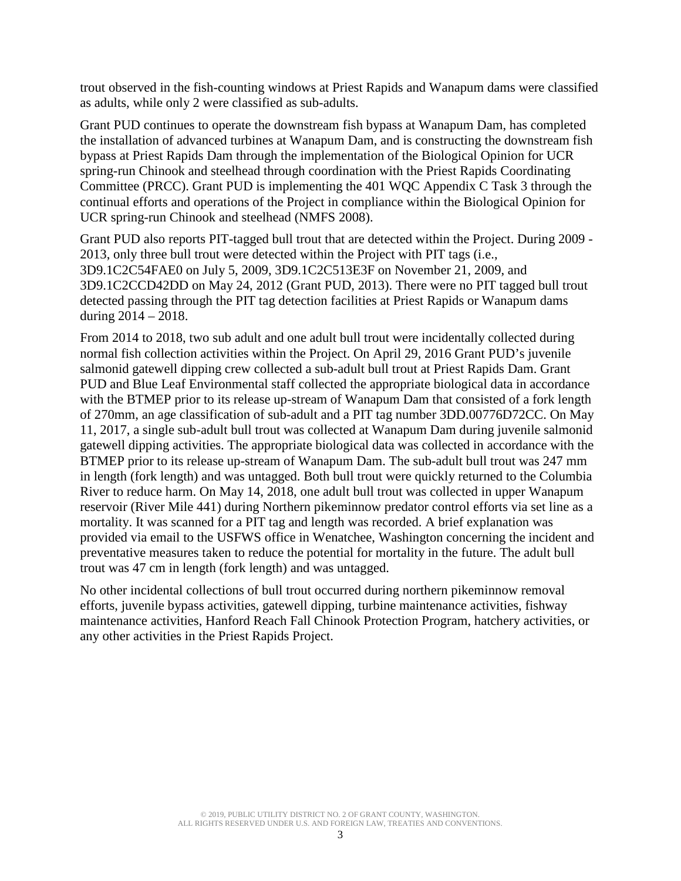trout observed in the fish-counting windows at Priest Rapids and Wanapum dams were classified as adults, while only 2 were classified as sub-adults.

Grant PUD continues to operate the downstream fish bypass at Wanapum Dam, has completed the installation of advanced turbines at Wanapum Dam, and is constructing the downstream fish bypass at Priest Rapids Dam through the implementation of the Biological Opinion for UCR spring-run Chinook and steelhead through coordination with the Priest Rapids Coordinating Committee (PRCC). Grant PUD is implementing the 401 WQC Appendix C Task 3 through the continual efforts and operations of the Project in compliance within the Biological Opinion for UCR spring-run Chinook and steelhead (NMFS 2008).

Grant PUD also reports PIT-tagged bull trout that are detected within the Project. During 2009 - 2013, only three bull trout were detected within the Project with PIT tags (i.e., 3D9.1C2C54FAE0 on July 5, 2009, 3D9.1C2C513E3F on November 21, 2009, and 3D9.1C2CCD42DD on May 24, 2012 (Grant PUD, 2013). There were no PIT tagged bull trout detected passing through the PIT tag detection facilities at Priest Rapids or Wanapum dams during  $2014 - 2018$ .

From 2014 to 2018, two sub adult and one adult bull trout were incidentally collected during normal fish collection activities within the Project. On April 29, 2016 Grant PUD's juvenile salmonid gatewell dipping crew collected a sub-adult bull trout at Priest Rapids Dam. Grant PUD and Blue Leaf Environmental staff collected the appropriate biological data in accordance with the BTMEP prior to its release up-stream of Wanapum Dam that consisted of a fork length of 270mm, an age classification of sub-adult and a PIT tag number 3DD.00776D72CC. On May 11, 2017, a single sub-adult bull trout was collected at Wanapum Dam during juvenile salmonid gatewell dipping activities. The appropriate biological data was collected in accordance with the BTMEP prior to its release up-stream of Wanapum Dam. The sub-adult bull trout was 247 mm in length (fork length) and was untagged. Both bull trout were quickly returned to the Columbia River to reduce harm. On May 14, 2018, one adult bull trout was collected in upper Wanapum reservoir (River Mile 441) during Northern pikeminnow predator control efforts via set line as a mortality. It was scanned for a PIT tag and length was recorded. A brief explanation was provided via email to the USFWS office in Wenatchee, Washington concerning the incident and preventative measures taken to reduce the potential for mortality in the future. The adult bull trout was 47 cm in length (fork length) and was untagged.

No other incidental collections of bull trout occurred during northern pikeminnow removal efforts, juvenile bypass activities, gatewell dipping, turbine maintenance activities, fishway maintenance activities, Hanford Reach Fall Chinook Protection Program, hatchery activities, or any other activities in the Priest Rapids Project.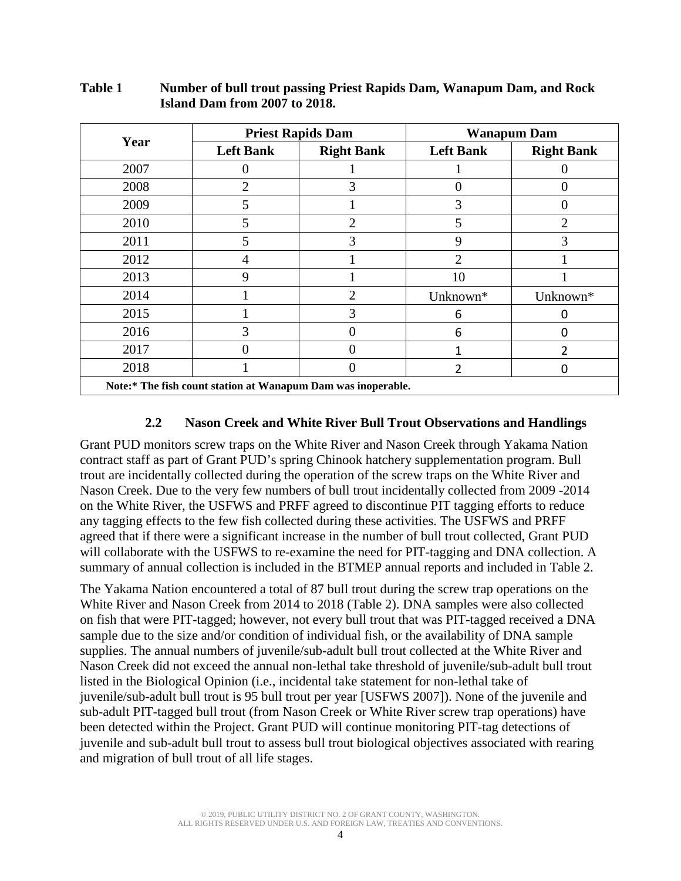|                                                              |                  | <b>Priest Rapids Dam</b> | <b>Wanapum Dam</b> |                   |  |  |
|--------------------------------------------------------------|------------------|--------------------------|--------------------|-------------------|--|--|
| Year                                                         | <b>Left Bank</b> | <b>Right Bank</b>        | <b>Left Bank</b>   | <b>Right Bank</b> |  |  |
| 2007                                                         |                  |                          |                    |                   |  |  |
| 2008                                                         | $\overline{2}$   | 3                        | $\left($           |                   |  |  |
| 2009                                                         | 5                |                          | 3                  |                   |  |  |
| 2010                                                         | 5                | $\overline{2}$           | 5                  | 2                 |  |  |
| 2011                                                         | 5                | 3                        | 9                  | 3                 |  |  |
| 2012                                                         | 4                |                          | $\overline{2}$     |                   |  |  |
| 2013                                                         | 9                |                          | 10                 |                   |  |  |
| 2014                                                         |                  | 2                        | Unknown*           | Unknown*          |  |  |
| 2015                                                         |                  | 3                        | 6                  |                   |  |  |
| 2016                                                         | 3                |                          | 6                  |                   |  |  |
| 2017                                                         |                  |                          | 1                  |                   |  |  |
| 2018                                                         |                  |                          | 2                  |                   |  |  |
| Note:* The fish count station at Wanapum Dam was inoperable. |                  |                          |                    |                   |  |  |

#### <span id="page-8-1"></span>**Table 1 Number of bull trout passing Priest Rapids Dam, Wanapum Dam, and Rock Island Dam from 2007 to 2018.**

#### **2.2 Nason Creek and White River Bull Trout Observations and Handlings**

<span id="page-8-0"></span>Grant PUD monitors screw traps on the White River and Nason Creek through Yakama Nation contract staff as part of Grant PUD's spring Chinook hatchery supplementation program. Bull trout are incidentally collected during the operation of the screw traps on the White River and Nason Creek. Due to the very few numbers of bull trout incidentally collected from 2009 -2014 on the White River, the USFWS and PRFF agreed to discontinue PIT tagging efforts to reduce any tagging effects to the few fish collected during these activities. The USFWS and PRFF agreed that if there were a significant increase in the number of bull trout collected, Grant PUD will collaborate with the USFWS to re-examine the need for PIT-tagging and DNA collection. A summary of annual collection is included in the BTMEP annual reports and included in [Table 2.](#page-9-3)

The Yakama Nation encountered a total of 87 bull trout during the screw trap operations on the White River and Nason Creek from 2014 to 2018 [\(Table 2\)](#page-9-3). DNA samples were also collected on fish that were PIT-tagged; however, not every bull trout that was PIT-tagged received a DNA sample due to the size and/or condition of individual fish, or the availability of DNA sample supplies. The annual numbers of juvenile/sub-adult bull trout collected at the White River and Nason Creek did not exceed the annual non-lethal take threshold of juvenile/sub-adult bull trout listed in the Biological Opinion (i.e., incidental take statement for non-lethal take of juvenile/sub-adult bull trout is 95 bull trout per year [USFWS 2007]). None of the juvenile and sub-adult PIT-tagged bull trout (from Nason Creek or White River screw trap operations) have been detected within the Project. Grant PUD will continue monitoring PIT-tag detections of juvenile and sub-adult bull trout to assess bull trout biological objectives associated with rearing and migration of bull trout of all life stages.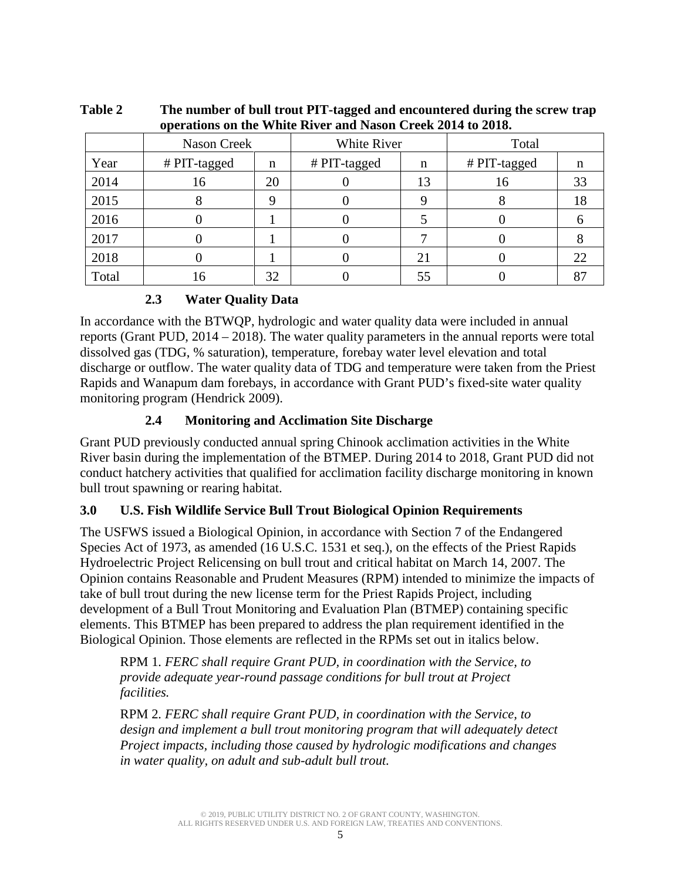| $\sigma$ and $\sigma$ and $\sigma$ is the state of $\sigma$ and $\sigma$ is the state of $\sigma$ and $\sigma$ |              |    |              |    |              |    |  |
|----------------------------------------------------------------------------------------------------------------|--------------|----|--------------|----|--------------|----|--|
|                                                                                                                | Nason Creek  |    | White River  |    | Total        |    |  |
| Year                                                                                                           | # PIT-tagged | n  | # PIT-tagged | n  | # PIT-tagged | n  |  |
| 2014                                                                                                           | 16           | 20 |              | 13 | 16           | 33 |  |
| 2015                                                                                                           |              |    |              |    |              | 18 |  |
| 2016                                                                                                           |              |    |              |    |              |    |  |
| 2017                                                                                                           |              |    |              |    |              |    |  |
| 2018                                                                                                           |              |    |              | 21 |              | 22 |  |
| Total                                                                                                          | 16           | 32 |              | 55 |              |    |  |

<span id="page-9-3"></span>**Table 2 The number of bull trout PIT-tagged and encountered during the screw trap operations on the White River and Nason Creek 2014 to 2018.**

#### **2.3 Water Quality Data**

<span id="page-9-0"></span>In accordance with the BTWQP, hydrologic and water quality data were included in annual reports (Grant PUD, 2014 – 2018). The water quality parameters in the annual reports were total dissolved gas (TDG, % saturation), temperature, forebay water level elevation and total discharge or outflow. The water quality data of TDG and temperature were taken from the Priest Rapids and Wanapum dam forebays, in accordance with Grant PUD's fixed-site water quality monitoring program (Hendrick 2009).

#### **2.4 Monitoring and Acclimation Site Discharge**

<span id="page-9-1"></span>Grant PUD previously conducted annual spring Chinook acclimation activities in the White River basin during the implementation of the BTMEP. During 2014 to 2018, Grant PUD did not conduct hatchery activities that qualified for acclimation facility discharge monitoring in known bull trout spawning or rearing habitat.

#### <span id="page-9-2"></span>**3.0 U.S. Fish Wildlife Service Bull Trout Biological Opinion Requirements**

The USFWS issued a Biological Opinion, in accordance with Section 7 of the Endangered Species Act of 1973, as amended (16 U.S.C. 1531 et seq.), on the effects of the Priest Rapids Hydroelectric Project Relicensing on bull trout and critical habitat on March 14, 2007. The Opinion contains Reasonable and Prudent Measures (RPM) intended to minimize the impacts of take of bull trout during the new license term for the Priest Rapids Project, including development of a Bull Trout Monitoring and Evaluation Plan (BTMEP) containing specific elements. This BTMEP has been prepared to address the plan requirement identified in the Biological Opinion. Those elements are reflected in the RPMs set out in italics below.

RPM 1*. FERC shall require Grant PUD, in coordination with the Service, to provide adequate year-round passage conditions for bull trout at Project facilities.*

RPM 2*. FERC shall require Grant PUD, in coordination with the Service, to design and implement a bull trout monitoring program that will adequately detect Project impacts, including those caused by hydrologic modifications and changes in water quality, on adult and sub-adult bull trout.*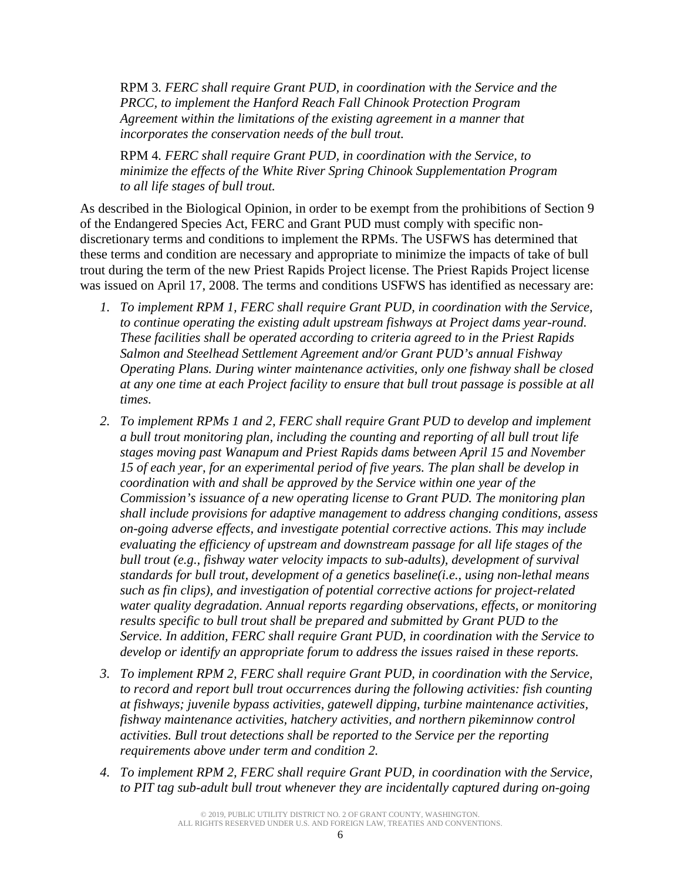RPM 3*. FERC shall require Grant PUD, in coordination with the Service and the PRCC, to implement the Hanford Reach Fall Chinook Protection Program Agreement within the limitations of the existing agreement in a manner that incorporates the conservation needs of the bull trout.*

RPM 4*. FERC shall require Grant PUD, in coordination with the Service, to minimize the effects of the White River Spring Chinook Supplementation Program to all life stages of bull trout.*

As described in the Biological Opinion, in order to be exempt from the prohibitions of Section 9 of the Endangered Species Act, FERC and Grant PUD must comply with specific nondiscretionary terms and conditions to implement the RPMs. The USFWS has determined that these terms and condition are necessary and appropriate to minimize the impacts of take of bull trout during the term of the new Priest Rapids Project license. The Priest Rapids Project license was issued on April 17, 2008. The terms and conditions USFWS has identified as necessary are:

- *1. To implement RPM 1, FERC shall require Grant PUD, in coordination with the Service, to continue operating the existing adult upstream fishways at Project dams year-round. These facilities shall be operated according to criteria agreed to in the Priest Rapids Salmon and Steelhead Settlement Agreement and/or Grant PUD's annual Fishway Operating Plans. During winter maintenance activities, only one fishway shall be closed at any one time at each Project facility to ensure that bull trout passage is possible at all times.*
- *2. To implement RPMs 1 and 2, FERC shall require Grant PUD to develop and implement a bull trout monitoring plan, including the counting and reporting of all bull trout life stages moving past Wanapum and Priest Rapids dams between April 15 and November 15 of each year, for an experimental period of five years. The plan shall be develop in coordination with and shall be approved by the Service within one year of the Commission's issuance of a new operating license to Grant PUD. The monitoring plan shall include provisions for adaptive management to address changing conditions, assess on-going adverse effects, and investigate potential corrective actions. This may include evaluating the efficiency of upstream and downstream passage for all life stages of the bull trout (e.g., fishway water velocity impacts to sub-adults), development of survival standards for bull trout, development of a genetics baseline(i.e., using non-lethal means such as fin clips), and investigation of potential corrective actions for project-related water quality degradation. Annual reports regarding observations, effects, or monitoring results specific to bull trout shall be prepared and submitted by Grant PUD to the Service. In addition, FERC shall require Grant PUD, in coordination with the Service to develop or identify an appropriate forum to address the issues raised in these reports.*
- *3. To implement RPM 2, FERC shall require Grant PUD, in coordination with the Service, to record and report bull trout occurrences during the following activities: fish counting at fishways; juvenile bypass activities, gatewell dipping, turbine maintenance activities, fishway maintenance activities, hatchery activities, and northern pikeminnow control activities. Bull trout detections shall be reported to the Service per the reporting requirements above under term and condition 2.*
- *4. To implement RPM 2, FERC shall require Grant PUD, in coordination with the Service, to PIT tag sub-adult bull trout whenever they are incidentally captured during on-going*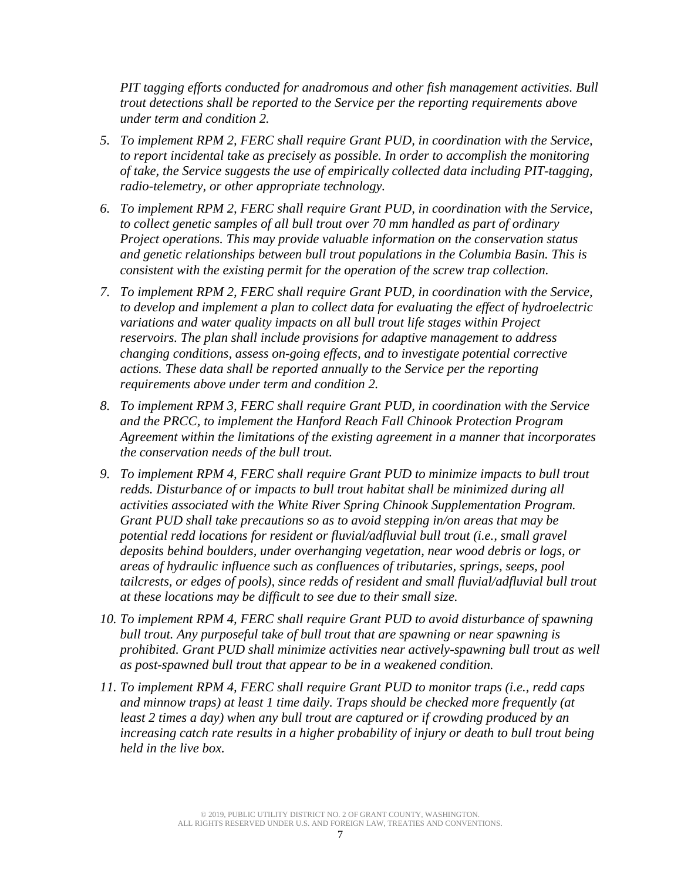*PIT tagging efforts conducted for anadromous and other fish management activities. Bull trout detections shall be reported to the Service per the reporting requirements above under term and condition 2.*

- *5. To implement RPM 2, FERC shall require Grant PUD, in coordination with the Service, to report incidental take as precisely as possible. In order to accomplish the monitoring of take, the Service suggests the use of empirically collected data including PIT-tagging, radio-telemetry, or other appropriate technology.*
- *6. To implement RPM 2, FERC shall require Grant PUD, in coordination with the Service, to collect genetic samples of all bull trout over 70 mm handled as part of ordinary Project operations. This may provide valuable information on the conservation status and genetic relationships between bull trout populations in the Columbia Basin. This is consistent with the existing permit for the operation of the screw trap collection.*
- *7. To implement RPM 2, FERC shall require Grant PUD, in coordination with the Service, to develop and implement a plan to collect data for evaluating the effect of hydroelectric variations and water quality impacts on all bull trout life stages within Project reservoirs. The plan shall include provisions for adaptive management to address changing conditions, assess on-going effects, and to investigate potential corrective actions. These data shall be reported annually to the Service per the reporting requirements above under term and condition 2.*
- *8. To implement RPM 3, FERC shall require Grant PUD, in coordination with the Service and the PRCC, to implement the Hanford Reach Fall Chinook Protection Program Agreement within the limitations of the existing agreement in a manner that incorporates the conservation needs of the bull trout.*
- *9. To implement RPM 4, FERC shall require Grant PUD to minimize impacts to bull trout redds. Disturbance of or impacts to bull trout habitat shall be minimized during all activities associated with the White River Spring Chinook Supplementation Program. Grant PUD shall take precautions so as to avoid stepping in/on areas that may be potential redd locations for resident or fluvial/adfluvial bull trout (i.e., small gravel deposits behind boulders, under overhanging vegetation, near wood debris or logs, or areas of hydraulic influence such as confluences of tributaries, springs, seeps, pool tailcrests, or edges of pools), since redds of resident and small fluvial/adfluvial bull trout at these locations may be difficult to see due to their small size.*
- *10. To implement RPM 4, FERC shall require Grant PUD to avoid disturbance of spawning bull trout. Any purposeful take of bull trout that are spawning or near spawning is prohibited. Grant PUD shall minimize activities near actively-spawning bull trout as well as post-spawned bull trout that appear to be in a weakened condition.*
- *11. To implement RPM 4, FERC shall require Grant PUD to monitor traps (i.e., redd caps and minnow traps) at least 1 time daily. Traps should be checked more frequently (at least 2 times a day) when any bull trout are captured or if crowding produced by an increasing catch rate results in a higher probability of injury or death to bull trout being held in the live box.*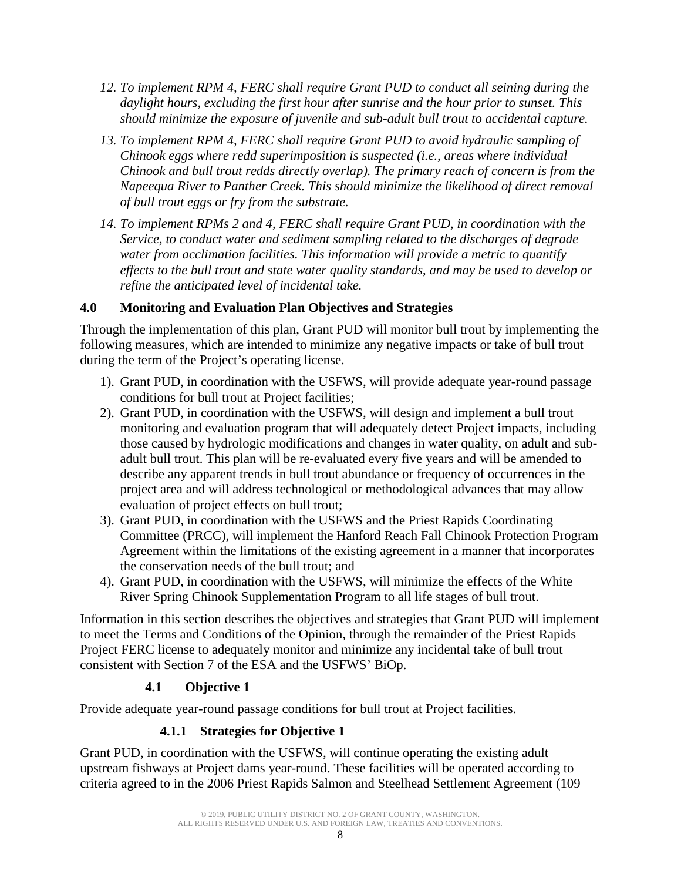- *12. To implement RPM 4, FERC shall require Grant PUD to conduct all seining during the daylight hours, excluding the first hour after sunrise and the hour prior to sunset. This should minimize the exposure of juvenile and sub-adult bull trout to accidental capture.*
- *13. To implement RPM 4, FERC shall require Grant PUD to avoid hydraulic sampling of Chinook eggs where redd superimposition is suspected (i.e., areas where individual Chinook and bull trout redds directly overlap). The primary reach of concern is from the Napeequa River to Panther Creek. This should minimize the likelihood of direct removal of bull trout eggs or fry from the substrate.*
- *14. To implement RPMs 2 and 4, FERC shall require Grant PUD, in coordination with the Service, to conduct water and sediment sampling related to the discharges of degrade water from acclimation facilities. This information will provide a metric to quantify effects to the bull trout and state water quality standards*, *and may be used to develop or refine the anticipated level of incidental take.*

#### <span id="page-12-0"></span>**4.0 Monitoring and Evaluation Plan Objectives and Strategies**

Through the implementation of this plan, Grant PUD will monitor bull trout by implementing the following measures, which are intended to minimize any negative impacts or take of bull trout during the term of the Project's operating license.

- 1). Grant PUD, in coordination with the USFWS, will provide adequate year-round passage conditions for bull trout at Project facilities;
- 2). Grant PUD, in coordination with the USFWS, will design and implement a bull trout monitoring and evaluation program that will adequately detect Project impacts, including those caused by hydrologic modifications and changes in water quality, on adult and subadult bull trout. This plan will be re-evaluated every five years and will be amended to describe any apparent trends in bull trout abundance or frequency of occurrences in the project area and will address technological or methodological advances that may allow evaluation of project effects on bull trout;
- 3). Grant PUD, in coordination with the USFWS and the Priest Rapids Coordinating Committee (PRCC), will implement the Hanford Reach Fall Chinook Protection Program Agreement within the limitations of the existing agreement in a manner that incorporates the conservation needs of the bull trout; and
- 4). Grant PUD, in coordination with the USFWS, will minimize the effects of the White River Spring Chinook Supplementation Program to all life stages of bull trout.

Information in this section describes the objectives and strategies that Grant PUD will implement to meet the Terms and Conditions of the Opinion, through the remainder of the Priest Rapids Project FERC license to adequately monitor and minimize any incidental take of bull trout consistent with Section 7 of the ESA and the USFWS' BiOp.

#### **4.1 Objective 1**

<span id="page-12-2"></span><span id="page-12-1"></span>Provide adequate year-round passage conditions for bull trout at Project facilities.

#### **4.1.1 Strategies for Objective 1**

Grant PUD, in coordination with the USFWS, will continue operating the existing adult upstream fishways at Project dams year-round. These facilities will be operated according to criteria agreed to in the 2006 Priest Rapids Salmon and Steelhead Settlement Agreement (109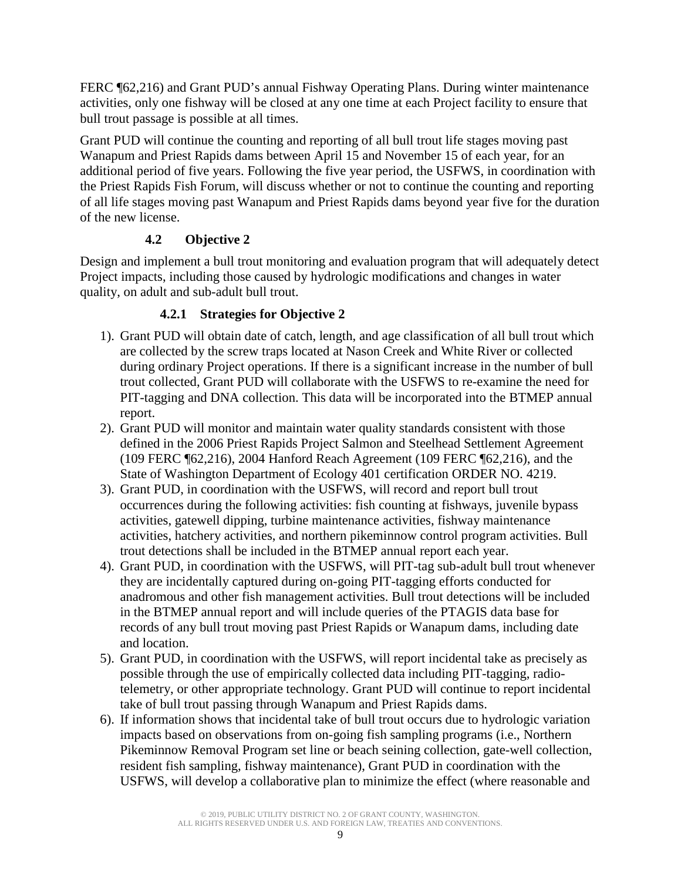FERC ¶62,216) and Grant PUD's annual Fishway Operating Plans. During winter maintenance activities, only one fishway will be closed at any one time at each Project facility to ensure that bull trout passage is possible at all times.

Grant PUD will continue the counting and reporting of all bull trout life stages moving past Wanapum and Priest Rapids dams between April 15 and November 15 of each year, for an additional period of five years. Following the five year period, the USFWS, in coordination with the Priest Rapids Fish Forum, will discuss whether or not to continue the counting and reporting of all life stages moving past Wanapum and Priest Rapids dams beyond year five for the duration of the new license.

#### **4.2 Objective 2**

<span id="page-13-0"></span>Design and implement a bull trout monitoring and evaluation program that will adequately detect Project impacts, including those caused by hydrologic modifications and changes in water quality, on adult and sub-adult bull trout.

#### **4.2.1 Strategies for Objective 2**

- <span id="page-13-1"></span>1). Grant PUD will obtain date of catch, length, and age classification of all bull trout which are collected by the screw traps located at Nason Creek and White River or collected during ordinary Project operations. If there is a significant increase in the number of bull trout collected, Grant PUD will collaborate with the USFWS to re-examine the need for PIT-tagging and DNA collection. This data will be incorporated into the BTMEP annual report.
- 2). Grant PUD will monitor and maintain water quality standards consistent with those defined in the 2006 Priest Rapids Project Salmon and Steelhead Settlement Agreement (109 FERC ¶62,216), 2004 Hanford Reach Agreement (109 FERC ¶62,216), and the State of Washington Department of Ecology 401 certification ORDER NO. 4219.
- 3). Grant PUD, in coordination with the USFWS, will record and report bull trout occurrences during the following activities: fish counting at fishways, juvenile bypass activities, gatewell dipping, turbine maintenance activities, fishway maintenance activities, hatchery activities, and northern pikeminnow control program activities. Bull trout detections shall be included in the BTMEP annual report each year.
- 4). Grant PUD, in coordination with the USFWS, will PIT-tag sub-adult bull trout whenever they are incidentally captured during on-going PIT-tagging efforts conducted for anadromous and other fish management activities. Bull trout detections will be included in the BTMEP annual report and will include queries of the PTAGIS data base for records of any bull trout moving past Priest Rapids or Wanapum dams, including date and location.
- 5). Grant PUD, in coordination with the USFWS, will report incidental take as precisely as possible through the use of empirically collected data including PIT-tagging, radiotelemetry, or other appropriate technology. Grant PUD will continue to report incidental take of bull trout passing through Wanapum and Priest Rapids dams.
- 6). If information shows that incidental take of bull trout occurs due to hydrologic variation impacts based on observations from on-going fish sampling programs (i.e., Northern Pikeminnow Removal Program set line or beach seining collection, gate-well collection, resident fish sampling, fishway maintenance), Grant PUD in coordination with the USFWS, will develop a collaborative plan to minimize the effect (where reasonable and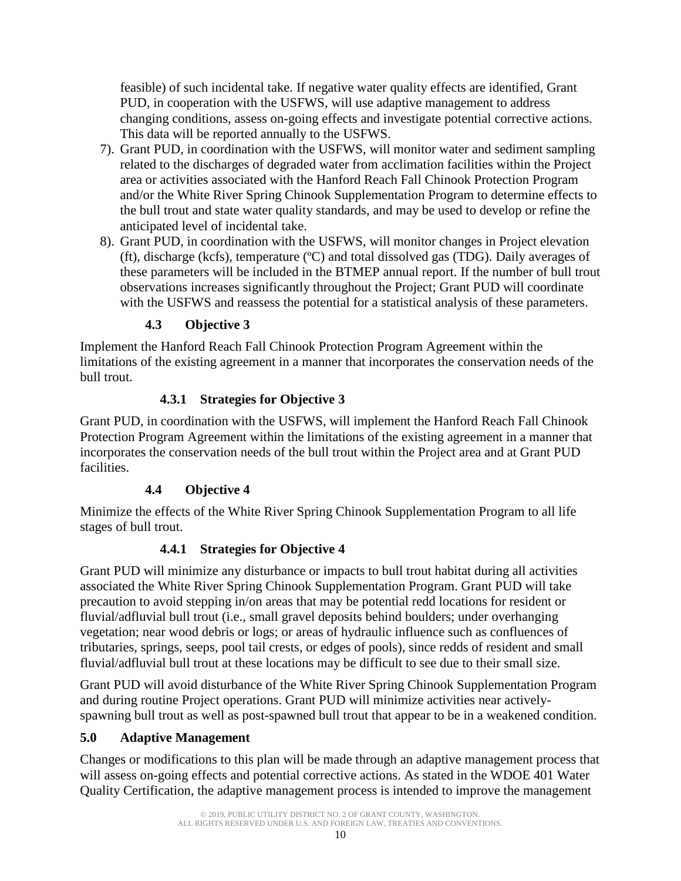feasible) of such incidental take. If negative water quality effects are identified, Grant PUD, in cooperation with the USFWS, will use adaptive management to address changing conditions, assess on-going effects and investigate potential corrective actions. This data will be reported annually to the USFWS.

- 7). Grant PUD, in coordination with the USFWS, will monitor water and sediment sampling related to the discharges of degraded water from acclimation facilities within the Project area or activities associated with the Hanford Reach Fall Chinook Protection Program and/or the White River Spring Chinook Supplementation Program to determine effects to the bull trout and state water quality standards, and may be used to develop or refine the anticipated level of incidental take.
- 8). Grant PUD, in coordination with the USFWS, will monitor changes in Project elevation (ft), discharge (kcfs), temperature (ºC) and total dissolved gas (TDG). Daily averages of these parameters will be included in the BTMEP annual report. If the number of bull trout observations increases significantly throughout the Project; Grant PUD will coordinate with the USFWS and reassess the potential for a statistical analysis of these parameters.

### **4.3 Objective 3**

<span id="page-14-0"></span>Implement the Hanford Reach Fall Chinook Protection Program Agreement within the limitations of the existing agreement in a manner that incorporates the conservation needs of the bull trout.

#### **4.3.1 Strategies for Objective 3**

<span id="page-14-1"></span>Grant PUD, in coordination with the USFWS, will implement the Hanford Reach Fall Chinook Protection Program Agreement within the limitations of the existing agreement in a manner that incorporates the conservation needs of the bull trout within the Project area and at Grant PUD facilities.

#### **4.4 Objective 4**

<span id="page-14-2"></span>Minimize the effects of the White River Spring Chinook Supplementation Program to all life stages of bull trout.

#### **4.4.1 Strategies for Objective 4**

<span id="page-14-3"></span>Grant PUD will minimize any disturbance or impacts to bull trout habitat during all activities associated the White River Spring Chinook Supplementation Program. Grant PUD will take precaution to avoid stepping in/on areas that may be potential redd locations for resident or fluvial/adfluvial bull trout (i.e., small gravel deposits behind boulders; under overhanging vegetation; near wood debris or logs; or areas of hydraulic influence such as confluences of tributaries, springs, seeps, pool tail crests, or edges of pools), since redds of resident and small fluvial/adfluvial bull trout at these locations may be difficult to see due to their small size.

Grant PUD will avoid disturbance of the White River Spring Chinook Supplementation Program and during routine Project operations. Grant PUD will minimize activities near activelyspawning bull trout as well as post-spawned bull trout that appear to be in a weakened condition.

#### <span id="page-14-4"></span>**5.0 Adaptive Management**

Changes or modifications to this plan will be made through an adaptive management process that will assess on-going effects and potential corrective actions. As stated in the WDOE 401 Water Quality Certification, the adaptive management process is intended to improve the management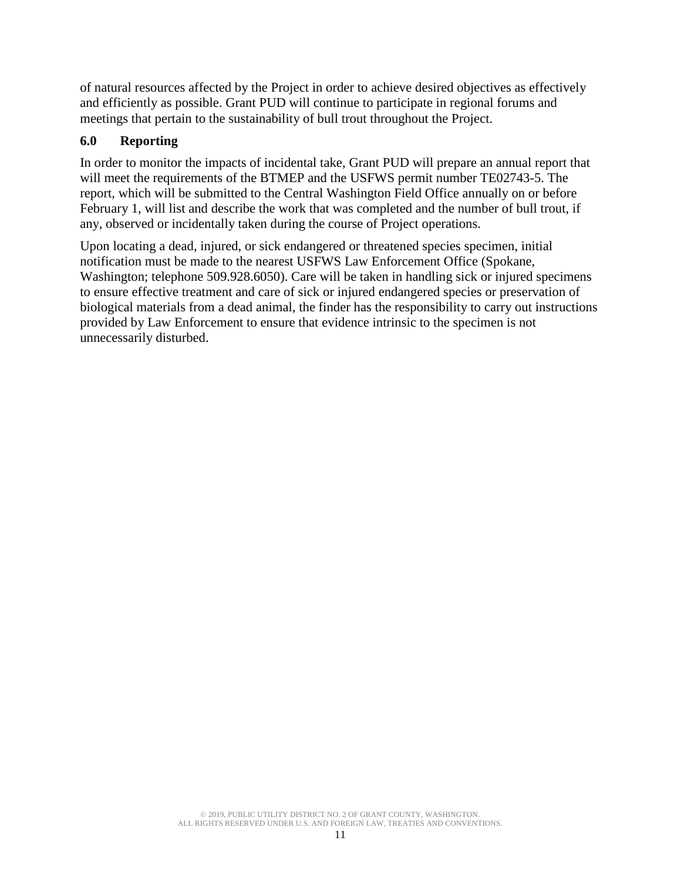of natural resources affected by the Project in order to achieve desired objectives as effectively and efficiently as possible. Grant PUD will continue to participate in regional forums and meetings that pertain to the sustainability of bull trout throughout the Project.

#### <span id="page-15-0"></span>**6.0 Reporting**

In order to monitor the impacts of incidental take, Grant PUD will prepare an annual report that will meet the requirements of the BTMEP and the USFWS permit number TE02743-5. The report, which will be submitted to the Central Washington Field Office annually on or before February 1, will list and describe the work that was completed and the number of bull trout, if any, observed or incidentally taken during the course of Project operations.

Upon locating a dead, injured, or sick endangered or threatened species specimen, initial notification must be made to the nearest USFWS Law Enforcement Office (Spokane, Washington; telephone 509.928.6050). Care will be taken in handling sick or injured specimens to ensure effective treatment and care of sick or injured endangered species or preservation of biological materials from a dead animal, the finder has the responsibility to carry out instructions provided by Law Enforcement to ensure that evidence intrinsic to the specimen is not unnecessarily disturbed.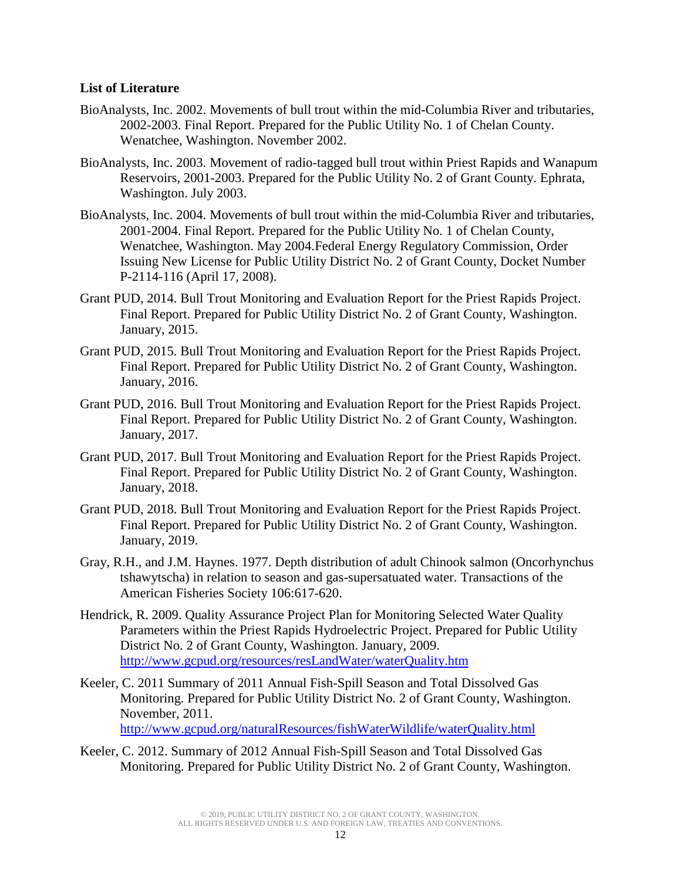#### <span id="page-16-0"></span>**List of Literature**

- BioAnalysts, Inc. 2002. Movements of bull trout within the mid-Columbia River and tributaries, 2002-2003. Final Report. Prepared for the Public Utility No. 1 of Chelan County. Wenatchee, Washington. November 2002.
- BioAnalysts, Inc. 2003. Movement of radio-tagged bull trout within Priest Rapids and Wanapum Reservoirs, 2001-2003. Prepared for the Public Utility No. 2 of Grant County. Ephrata, Washington. July 2003.
- BioAnalysts, Inc. 2004. Movements of bull trout within the mid-Columbia River and tributaries, 2001-2004. Final Report. Prepared for the Public Utility No. 1 of Chelan County, Wenatchee, Washington. May 2004.Federal Energy Regulatory Commission, Order Issuing New License for Public Utility District No. 2 of Grant County, Docket Number P-2114-116 (April 17, 2008).
- Grant PUD, 2014. Bull Trout Monitoring and Evaluation Report for the Priest Rapids Project. Final Report. Prepared for Public Utility District No. 2 of Grant County, Washington. January, 2015.
- Grant PUD, 2015. Bull Trout Monitoring and Evaluation Report for the Priest Rapids Project. Final Report. Prepared for Public Utility District No. 2 of Grant County, Washington. January, 2016.
- Grant PUD, 2016. Bull Trout Monitoring and Evaluation Report for the Priest Rapids Project. Final Report. Prepared for Public Utility District No. 2 of Grant County, Washington. January, 2017.
- Grant PUD, 2017. Bull Trout Monitoring and Evaluation Report for the Priest Rapids Project. Final Report. Prepared for Public Utility District No. 2 of Grant County, Washington. January, 2018.
- Grant PUD, 2018. Bull Trout Monitoring and Evaluation Report for the Priest Rapids Project. Final Report. Prepared for Public Utility District No. 2 of Grant County, Washington. January, 2019.
- Gray, R.H., and J.M. Haynes. 1977. Depth distribution of adult Chinook salmon (Oncorhynchus tshawytscha) in relation to season and gas-supersatuated water. Transactions of the American Fisheries Society 106:617-620.
- Hendrick, R. 2009. Quality Assurance Project Plan for Monitoring Selected Water Quality Parameters within the Priest Rapids Hydroelectric Project. Prepared for Public Utility District No. 2 of Grant County, Washington. January, 2009. <http://www.gcpud.org/resources/resLandWater/waterQuality.htm>
- Keeler, C. 2011 Summary of 2011 Annual Fish-Spill Season and Total Dissolved Gas Monitoring. Prepared for Public Utility District No. 2 of Grant County, Washington. November, 2011. <http://www.gcpud.org/naturalResources/fishWaterWildlife/waterQuality.html>
- Keeler, C. 2012. Summary of 2012 Annual Fish-Spill Season and Total Dissolved Gas Monitoring. Prepared for Public Utility District No. 2 of Grant County, Washington.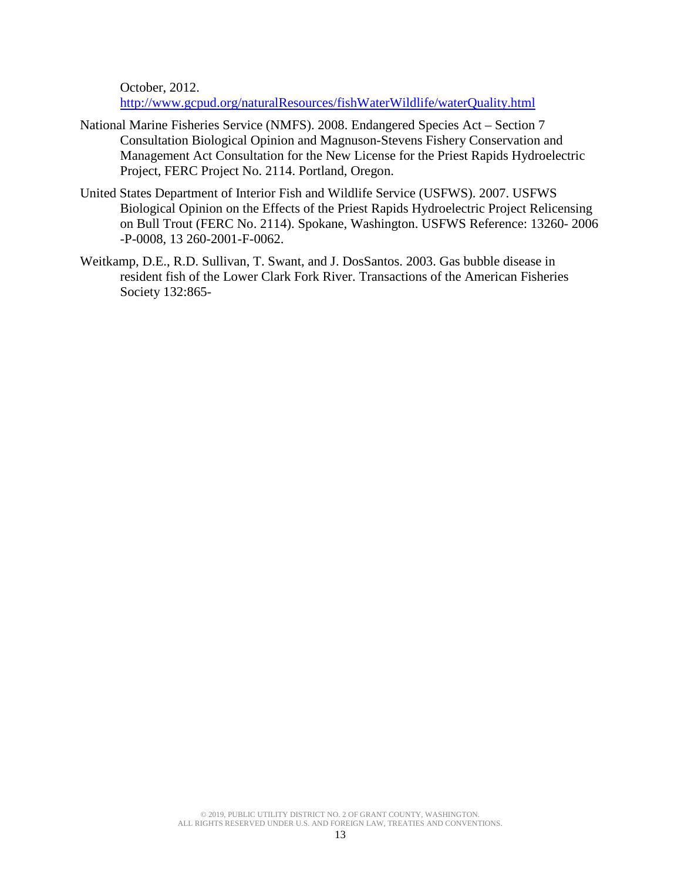October, 2012.

<http://www.gcpud.org/naturalResources/fishWaterWildlife/waterQuality.html>

- National Marine Fisheries Service (NMFS). 2008. Endangered Species Act Section 7 Consultation Biological Opinion and Magnuson-Stevens Fishery Conservation and Management Act Consultation for the New License for the Priest Rapids Hydroelectric Project, FERC Project No. 2114. Portland, Oregon.
- United States Department of Interior Fish and Wildlife Service (USFWS). 2007. USFWS Biological Opinion on the Effects of the Priest Rapids Hydroelectric Project Relicensing on Bull Trout (FERC No. 2114). Spokane, Washington. USFWS Reference: 13260- 2006 -P-0008, 13 260-2001-F-0062.
- Weitkamp, D.E., R.D. Sullivan, T. Swant, and J. DosSantos. 2003. Gas bubble disease in resident fish of the Lower Clark Fork River. Transactions of the American Fisheries Society 132:865-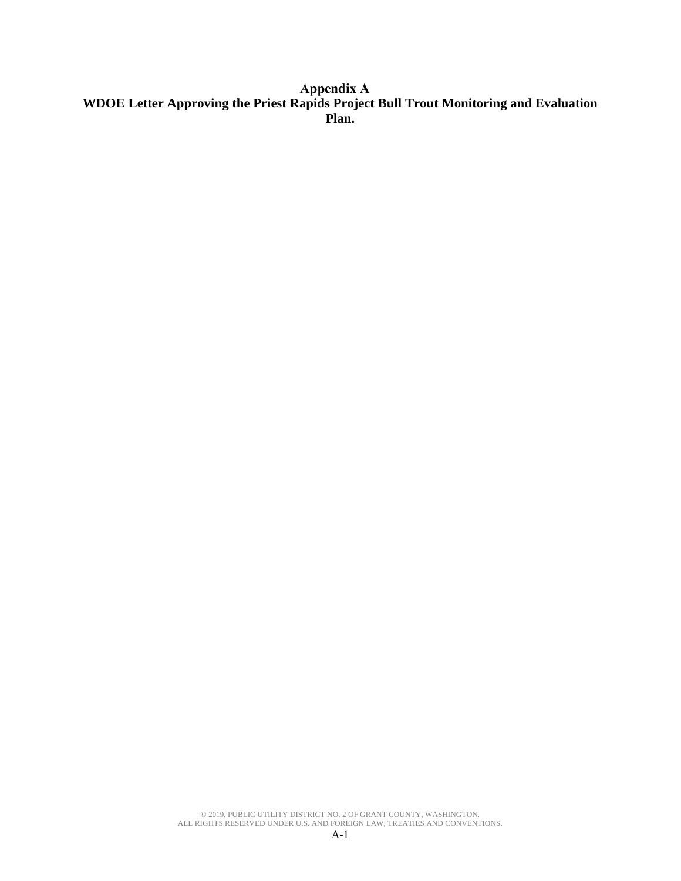# **WDOE Letter Approving the Priest Rapids Project Bull Trout Monitoring and Evaluation Plan.**